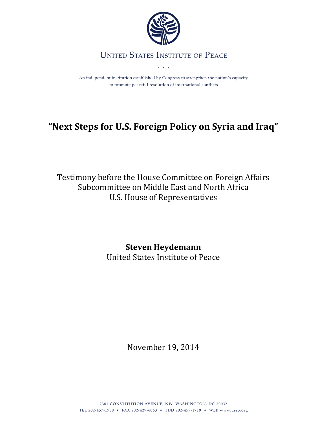

### **UNITED STATES INSTITUTE OF PEACE**

 $\mathbb{R}^2$ 

An independent institution established by Congress to strengthen the nation's capacity to promote peaceful resolution of international conflicts

# **"Next Steps for U.S. Foreign Policy on Syria and Iraq"**

Testimony before the House Committee on Foreign Affairs Subcommittee on Middle East and North Africa U.S. House of Representatives

## **Steven Heydemann**

United States Institute of Peace

November 19, 2014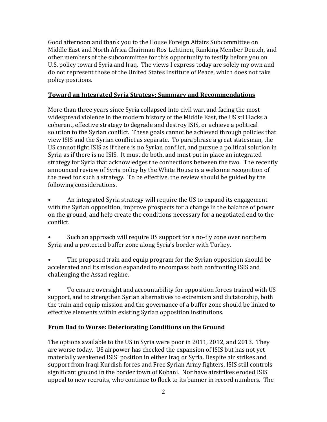Good afternoon and thank you to the House Foreign Affairs Subcommittee on Middle East and North Africa Chairman Ros-Lehtinen, Ranking Member Deutch, and other members of the subcommittee for this opportunity to testify before you on U.S. policy toward Syria and Iraq. The views I express today are solely my own and do not represent those of the United States Institute of Peace, which does not take policy positions.

#### **Toward an Integrated Syria Strategy: Summary and Recommendations**

More than three years since Syria collapsed into civil war, and facing the most widespread violence in the modern history of the Middle East, the US still lacks a coherent, effective strategy to degrade and destroy ISIS, or achieve a political solution to the Syrian conflict. These goals cannot be achieved through policies that view ISIS and the Syrian conflict as separate. To paraphrase a great statesman, the US cannot fight ISIS as if there is no Syrian conflict, and pursue a political solution in Syria as if there is no ISIS. It must do both, and must put in place an integrated strategy for Syria that acknowledges the connections between the two. The recently announced review of Syria policy by the White House is a welcome recognition of the need for such a strategy. To be effective, the review should be guided by the following considerations.

• An integrated Syria strategy will require the US to expand its engagement with the Syrian opposition, improve prospects for a change in the balance of power on the ground, and help create the conditions necessary for a negotiated end to the conflict.

Such an approach will require US support for a no-fly zone over northern Syria and a protected buffer zone along Syria's border with Turkey.

• The proposed train and equip program for the Syrian opposition should be accelerated and its mission expanded to encompass both confronting ISIS and challenging the Assad regime.

• To ensure oversight and accountability for opposition forces trained with US support, and to strengthen Syrian alternatives to extremism and dictatorship, both the train and equip mission and the governance of a buffer zone should be linked to effective elements within existing Syrian opposition institutions.

#### **From Bad to Worse: Deteriorating Conditions on the Ground**

The options available to the US in Syria were poor in 2011, 2012, and 2013. They are worse today. US airpower has checked the expansion of ISIS but has not yet materially weakened ISIS' position in either Iraq or Syria. Despite air strikes and support from Iraqi Kurdish forces and Free Syrian Army fighters, ISIS still controls significant ground in the border town of Kobani. Nor have airstrikes eroded ISIS' appeal to new recruits, who continue to flock to its banner in record numbers. The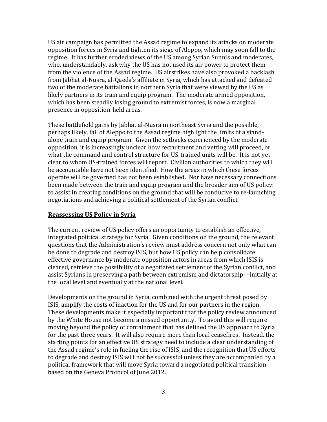US air campaign has permitted the Assad regime to expand its attacks on moderate opposition forces in Syria and tighten its siege of Aleppo, which may soon fall to the regime. It has further eroded views of the US among Syrian Sunnis and moderates, who, understandably, ask why the US has not used its air power to protect them from the violence of the Assad regime. US airstrikes have also provoked a backlash from Jabhat al-Nusra, al-Qaeda's affiliate in Syria, which has attacked and defeated two of the moderate battalions in northern Syria that were viewed by the US as likely partners in its train and equip program. The moderate armed opposition, which has been steadily losing ground to extremist forces, is now a marginal presence in opposition-held areas.

These battlefield gains by Jabhat al-Nusra in northeast Syria and the possible, perhaps likely, fall of Aleppo to the Assad regime highlight the limits of a standalone train and equip program. Given the setbacks experienced by the moderate opposition, it is increasingly unclear how recruitment and vetting will proceed, or what the command and control structure for US-trained units will be. It is not yet clear to whom US-trained forces will report. Civilian authorities to which they will be accountable have not been identified. How the areas in which these forces operate will be governed has not been established. Nor have necessary connections been made between the train and equip program and the broader aim of US policy: to assist in creating conditions on the ground that will be conducive to re-launching negotiations and achieving a political settlement of the Syrian conflict.

#### **Reassessing US Policy in Syria**

The current review of US policy offers an opportunity to establish an effective, integrated political strategy for Syria. Given conditions on the ground, the relevant questions that the Administration's review must address concern not only what can be done to degrade and destroy ISIS, but how US policy can help consolidate effective governance by moderate opposition actors in areas from which ISIS is cleared, retrieve the possibility of a negotiated settlement of the Syrian conflict, and assist Syrians in preserving a path between extremism and dictatorship—initially at the local level and eventually at the national level.

Developments on the ground in Syria, combined with the urgent threat posed by ISIS, amplify the costs of inaction for the US and for our partners in the region. These developments make it especially important that the policy review announced by the White House not become a missed opportunity. To avoid this will require moving beyond the policy of containment that has defined the US approach to Syria for the past three years. It will also require more than local ceasefires. Instead, the starting points for an effective US strategy need to include a clear understanding of the Assad regime's role in fueling the rise of ISIS, and the recognition that US efforts to degrade and destroy ISIS will not be successful unless they are accompanied by a political framework that will move Syria toward a negotiated political transition based on the Geneva Protocol of June 2012.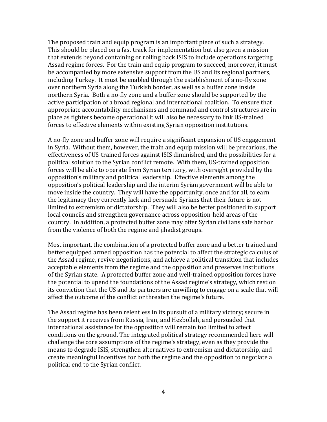The proposed train and equip program is an important piece of such a strategy. This should be placed on a fast track for implementation but also given a mission that extends beyond containing or rolling back ISIS to include operations targeting Assad regime forces. For the train and equip program to succeed, moreover, it must be accompanied by more extensive support from the US and its regional partners, including Turkey. It must be enabled through the establishment of a no-fly zone over northern Syria along the Turkish border, as well as a buffer zone inside northern Syria. Both a no-fly zone and a buffer zone should be supported by the active participation of a broad regional and international coalition. To ensure that appropriate accountability mechanisms and command and control structures are in place as fighters become operational it will also be necessary to link US-trained forces to effective elements within existing Syrian opposition institutions.

A no-fly zone and buffer zone will require a significant expansion of US engagement in Syria. Without them, however, the train and equip mission will be precarious, the effectiveness of US-trained forces against ISIS diminished, and the possibilities for a political solution to the Syrian conflict remote. With them, US-trained opposition forces will be able to operate from Syrian territory, with oversight provided by the opposition's military and political leadership. Effective elements among the opposition's political leadership and the interim Syrian government will be able to move inside the country. They will have the opportunity, once and for all, to earn the legitimacy they currently lack and persuade Syrians that their future is not limited to extremism or dictatorship. They will also be better positioned to support local councils and strengthen governance across opposition-held areas of the country. In addition, a protected buffer zone may offer Syrian civilians safe harbor from the violence of both the regime and jihadist groups.

Most important, the combination of a protected buffer zone and a better trained and better equipped armed opposition has the potential to affect the strategic calculus of the Assad regime, revive negotiations, and achieve a political transition that includes acceptable elements from the regime and the opposition and preserves institutions of the Syrian state. A protected buffer zone and well-trained opposition forces have the potential to upend the foundations of the Assad regime's strategy, which rest on its conviction that the US and its partners are unwilling to engage on a scale that will affect the outcome of the conflict or threaten the regime's future.

The Assad regime has been relentless in its pursuit of a military victory; secure in the support it receives from Russia, Iran, and Hezbollah, and persuaded that international assistance for the opposition will remain too limited to affect conditions on the ground. The integrated political strategy recommended here will challenge the core assumptions of the regime's strategy, even as they provide the means to degrade ISIS, strengthen alternatives to extremism and dictatorship, and create meaningful incentives for both the regime and the opposition to negotiate a political end to the Syrian conflict.